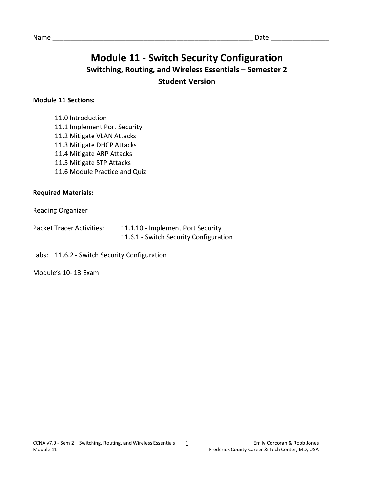## **Module 11 - Switch Security Configuration Switching, Routing, and Wireless Essentials – Semester 2 Student Version**

### **Module 11 Sections:**

11.0 Introduction

- 11.1 Implement Port Security
- 11.2 Mitigate VLAN Attacks
- 11.3 Mitigate DHCP Attacks
- 11.4 Mitigate ARP Attacks
- 11.5 Mitigate STP Attacks
- 11.6 Module Practice and Quiz

### **Required Materials:**

### Reading Organizer

| Packet Tracer Activities: | 11.1.10 - Implement Port Security      |  |  |
|---------------------------|----------------------------------------|--|--|
|                           | 11.6.1 - Switch Security Configuration |  |  |

Labs: 11.6.2 - Switch Security Configuration

Module's 10- 13 Exam

1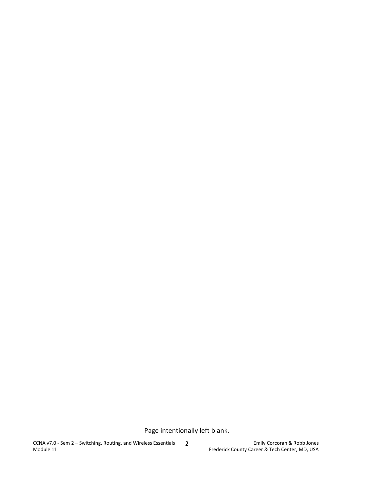Page intentionally left blank.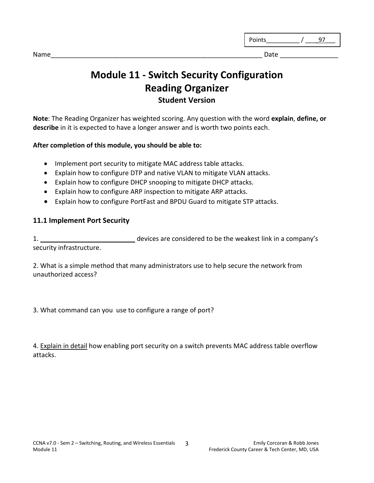Name\_\_\_\_\_\_\_\_\_\_\_\_\_\_\_\_\_\_\_\_\_\_\_\_\_\_\_\_\_\_\_\_\_\_\_\_\_\_\_\_\_\_\_\_\_\_\_\_\_\_\_\_\_\_\_\_\_\_ Date \_\_\_\_\_\_\_\_\_\_\_\_\_\_\_\_

# **Module 11 - Switch Security Configuration Reading Organizer Student Version**

**Note**: The Reading Organizer has weighted scoring. Any question with the word **explain**, **define, or describe** in it is expected to have a longer answer and is worth two points each.

## **After completion of this module, you should be able to:**

- Implement port security to mitigate MAC address table attacks.
- Explain how to configure DTP and native VLAN to mitigate VLAN attacks.
- Explain how to configure DHCP snooping to mitigate DHCP attacks.
- Explain how to configure ARP inspection to mitigate ARP attacks.
- Explain how to configure PortFast and BPDU Guard to mitigate STP attacks.

## **11.1 Implement Port Security**

1. \_\_\_\_\_\_\_\_\_\_\_\_\_\_\_\_\_\_\_\_\_\_\_\_\_\_ devices are considered to be the weakest link in a company's security infrastructure.

2. What is a simple method that many administrators use to help secure the network from unauthorized access?

3. What command can you use to configure a range of port?

4. Explain in detail how enabling port security on a switch prevents MAC address table overflow attacks.

3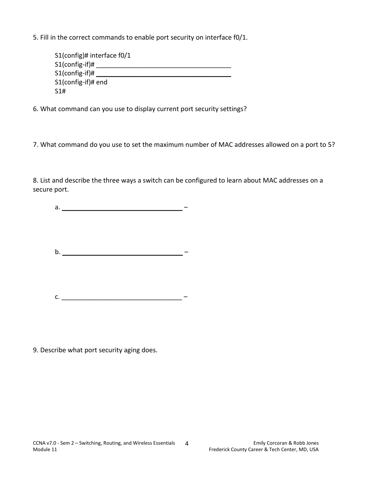5. Fill in the correct commands to enable port security on interface f0/1.

| $S1$ (config)# interface f0/1 |
|-------------------------------|
| $S1$ (config-if)#             |
| $S1$ (config-if)#             |
| S1(config-if)# end            |
| S <sub>1</sub> #              |

6. What command can you use to display current port security settings?

7. What command do you use to set the maximum number of MAC addresses allowed on a port to 5?

8. List and describe the three ways a switch can be configured to learn about MAC addresses on a secure port.

a. \_\_\_\_\_\_\_\_\_\_\_\_\_\_\_\_\_\_\_\_\_\_\_\_\_\_\_\_\_\_\_\_\_ –

b.  $\qquad \qquad -$ 

c. \_\_\_\_\_\_\_\_\_\_\_\_\_\_\_\_\_\_\_\_\_\_\_\_\_\_\_\_\_\_\_\_\_ –

9. Describe what port security aging does.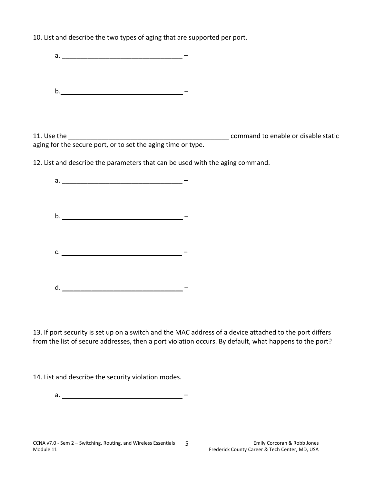10. List and describe the two types of aging that are supported per port.

a.  $$ b. \_\_\_\_\_\_\_\_\_\_\_\_\_\_\_\_\_\_\_\_\_\_\_\_\_\_\_\_\_\_\_\_\_ – 11. Use the \_\_\_\_\_\_\_\_\_\_\_\_\_\_\_\_\_\_\_\_\_\_\_\_\_\_\_\_\_\_\_\_\_\_\_\_\_\_\_\_\_\_\_\_ command to enable or disable static aging for the secure port, or to set the aging time or type. 12. List and describe the parameters that can be used with the aging command.

a. \_\_\_\_\_\_\_\_\_\_\_\_\_\_\_\_\_\_\_\_\_\_\_\_\_\_\_\_\_\_\_\_\_ –  $b.$   $$  $c.$   $$ d. \_\_\_\_\_\_\_\_\_\_\_\_\_\_\_\_\_\_\_\_\_\_\_\_\_\_\_\_\_\_\_\_\_ –

13. If port security is set up on a switch and the MAC address of a device attached to the port differs from the list of secure addresses, then a port violation occurs. By default, what happens to the port?

14. List and describe the security violation modes.

a. \_\_\_\_\_\_\_\_\_\_\_\_\_\_\_\_\_\_\_\_\_\_\_\_\_\_\_\_\_\_\_\_\_ –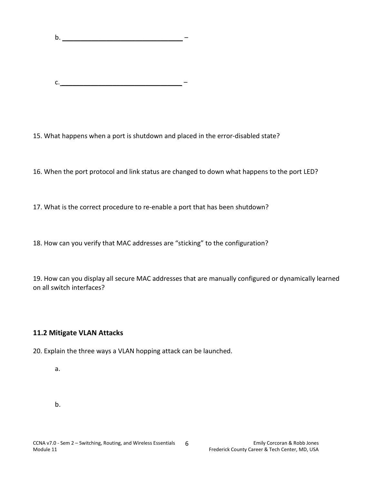| b. |  |  |  |
|----|--|--|--|
|    |  |  |  |
|    |  |  |  |
|    |  |  |  |
|    |  |  |  |
| c. |  |  |  |

15. What happens when a port is shutdown and placed in the error-disabled state?

16. When the port protocol and link status are changed to down what happens to the port LED?

17. What is the correct procedure to re-enable a port that has been shutdown?

18. How can you verify that MAC addresses are "sticking" to the configuration?

19. How can you display all secure MAC addresses that are manually configured or dynamically learned on all switch interfaces?

## **11.2 Mitigate VLAN Attacks**

20. Explain the three ways a VLAN hopping attack can be launched.

a.

b.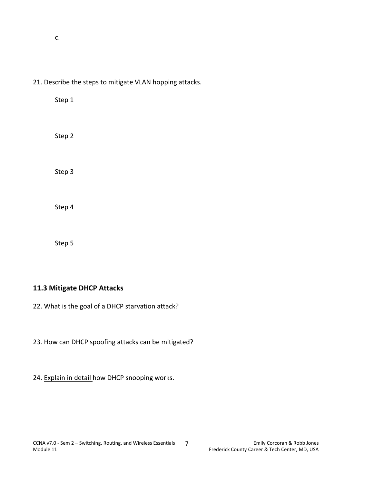21. Describe the steps to mitigate VLAN hopping attacks.

| Step 1 |  |
|--------|--|
| Step 2 |  |
| Step 3 |  |
| Step 4 |  |
| Step 5 |  |

## **11.3 Mitigate DHCP Attacks**

- 22. What is the goal of a DHCP starvation attack?
- 23. How can DHCP spoofing attacks can be mitigated?
- 24. Explain in detail how DHCP snooping works.

7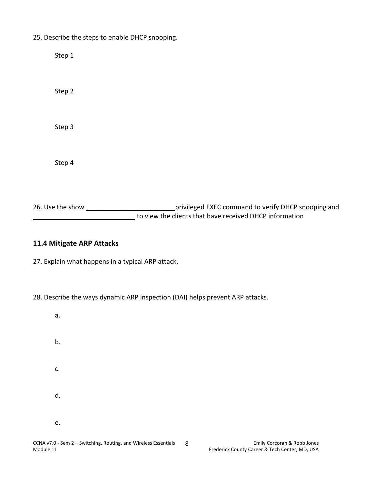25. Describe the steps to enable DHCP snooping.

|                  | to view the clients that have received DHCP information |
|------------------|---------------------------------------------------------|
| 26. Use the show | privileged EXEC command to verify DHCP snooping and     |
| Step 4           |                                                         |
| Step 3           |                                                         |
| Step 2           |                                                         |
| Step 1           |                                                         |

## **11.4 Mitigate ARP Attacks**

27. Explain what happens in a typical ARP attack.

28. Describe the ways dynamic ARP inspection (DAI) helps prevent ARP attacks.

| a. |  |  |  |
|----|--|--|--|
| b. |  |  |  |
| c. |  |  |  |
| d. |  |  |  |
| e. |  |  |  |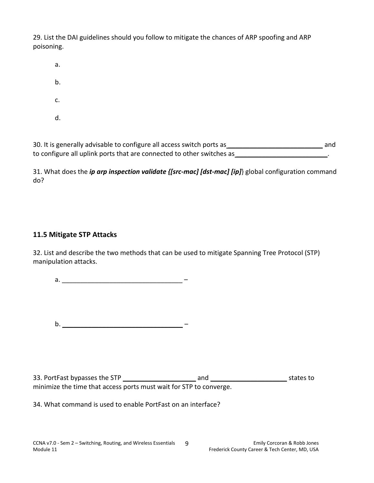29. List the DAI guidelines should you follow to mitigate the chances of ARP spoofing and ARP poisoning.

a. b. c. d.

30. It is generally advisable to configure all access switch ports as \_\_\_\_\_\_\_\_\_\_\_\_\_\_\_\_\_\_\_\_\_\_\_\_\_\_ and to configure all uplink ports that are connected to other switches as \_\_\_\_\_\_\_\_\_\_\_\_\_\_\_\_\_\_\_\_\_\_\_\_\_.

31. What does the *ip arp inspection validate {[src-mac] [dst-mac] [ip]*} global configuration command do?

## **11.5 Mitigate STP Attacks**

32. List and describe the two methods that can be used to mitigate Spanning Tree Protocol (STP) manipulation attacks.

a. \_\_\_\_\_\_\_\_\_\_\_\_\_\_\_\_\_\_\_\_\_\_\_\_\_\_\_\_\_\_\_\_\_ –

b.  $\Box$ 

33. PortFast bypasses the STP \_\_\_\_\_\_\_\_\_\_\_\_\_\_\_\_\_\_\_\_ and \_\_\_\_\_\_\_\_\_\_\_\_\_\_\_\_\_\_\_\_\_ states to minimize the time that access ports must wait for STP to converge.

34. What command is used to enable PortFast on an interface?